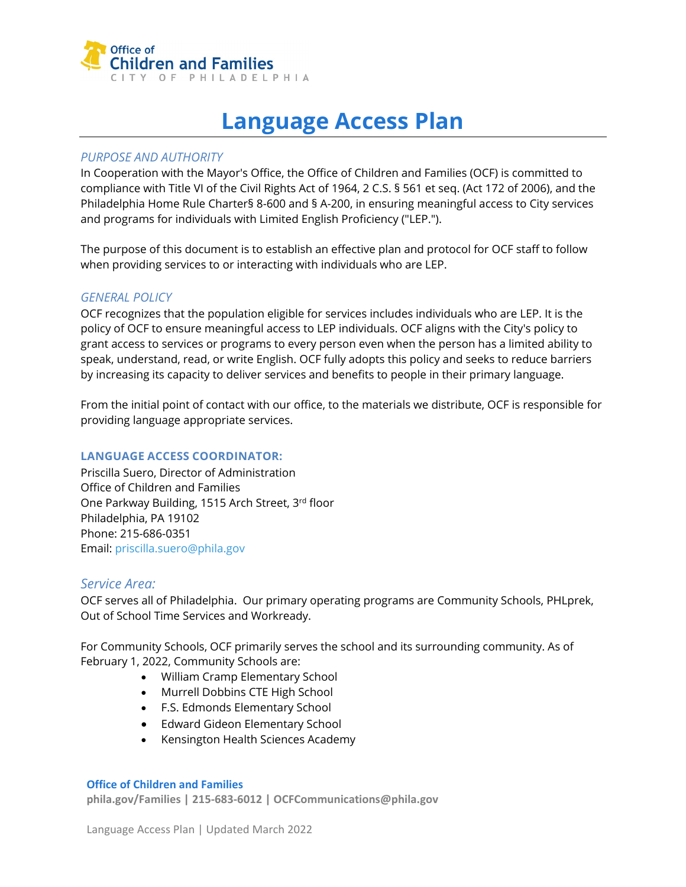

# **Language Access Plan**

### *PURPOSE AND AUTHORITY*

In Cooperation with the Mayor's Office, the Office of Children and Families (OCF) is committed to compliance with Title VI of the Civil Rights Act of 1964, 2 C.S. § 561 et seq. (Act 172 of 2006), and the Philadelphia Home Rule Charter§ 8-600 and § A-200, in ensuring meaningful access to City services and programs for individuals with Limited English Proficiency ("LEP.").

The purpose of this document is to establish an effective plan and protocol for OCF staff to follow when providing services to or interacting with individuals who are LEP.

### *GENERAL POLICY*

OCF recognizes that the population eligible for services includes individuals who are LEP. It is the policy of OCF to ensure meaningful access to LEP individuals. OCF aligns with the City's policy to grant access to services or programs to every person even when the person has a limited ability to speak, understand, read, or write English. OCF fully adopts this policy and seeks to reduce barriers by increasing its capacity to deliver services and benefits to people in their primary language.

From the initial point of contact with our office, to the materials we distribute, OCF is responsible for providing language appropriate services.

### **LANGUAGE ACCESS COORDINATOR:**

Priscilla Suero, Director of Administration Office of Children and Families One Parkway Building, 1515 Arch Street, 3rd floor Philadelphia, PA 19102 Phone: 215-686-0351 Email[: priscilla.suero@phila.gov](mailto:priscilla.suero@phila.gov)

### *Service Area:*

OCF serves all of Philadelphia. Our primary operating programs are Community Schools, PHLprek, Out of School Time Services and Workready.

For Community Schools, OCF primarily serves the school and its surrounding community. As of February 1, 2022, Community Schools are:

- William Cramp Elementary School
- Murrell Dobbins CTE High School
- F.S. Edmonds Elementary School
- Edward Gideon Elementary School
- Kensington Health Sciences Academy

#### **Office of Children and Families**

**phila.gov/Families | 215-683-6012 | OCFCommunications@phila.gov**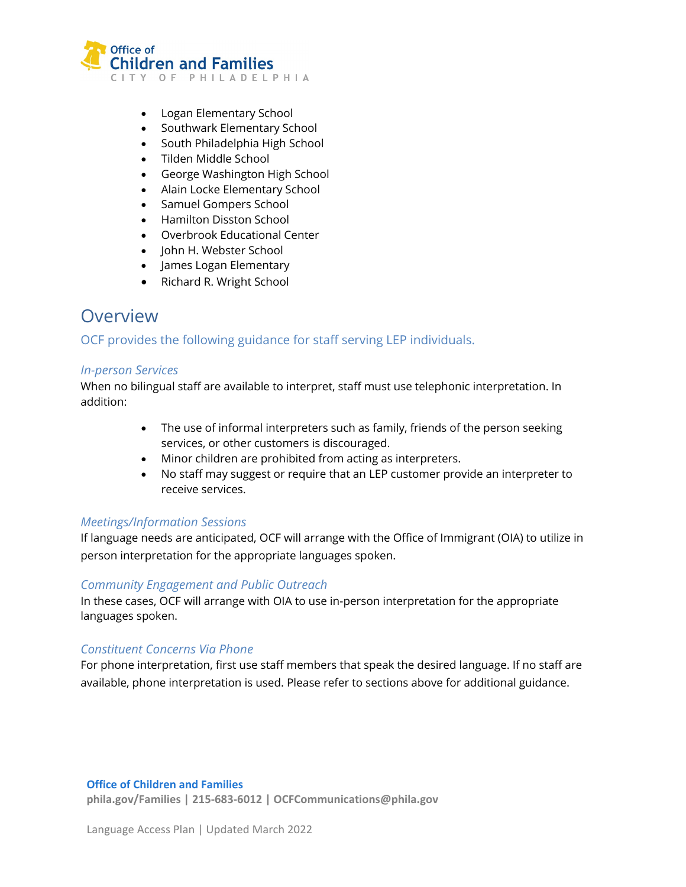

- Logan Elementary School
- Southwark Elementary School
- South Philadelphia High School
- Tilden Middle School
- George Washington High School
- Alain Locke Elementary School
- Samuel Gompers School
- Hamilton Disston School
- Overbrook Educational Center
- John H. Webster School
- James Logan Elementary
- Richard R. Wright School

# **Overview**

# OCF provides the following guidance for staff serving LEP individuals.

### *In-person Services*

When no bilingual staff are available to interpret, staff must use telephonic interpretation. In addition:

- The use of informal interpreters such as family, friends of the person seeking services, or other customers is discouraged.
- Minor children are prohibited from acting as interpreters.
- No staff may suggest or require that an LEP customer provide an interpreter to receive services.

### *Meetings/Information Sessions*

If language needs are anticipated, OCF will arrange with the Office of Immigrant (OIA) to utilize in person interpretation for the appropriate languages spoken.

### *Community Engagement and Public Outreach*

In these cases, OCF will arrange with OIA to use in-person interpretation for the appropriate languages spoken.

### *Constituent Concerns Via Phone*

For phone interpretation, first use staff members that speak the desired language. If no staff are available, phone interpretation is used. Please refer to sections above for additional guidance.

#### **Office of Children and Families**

**phila.gov/Families | 215-683-6012 | OCFCommunications@phila.gov**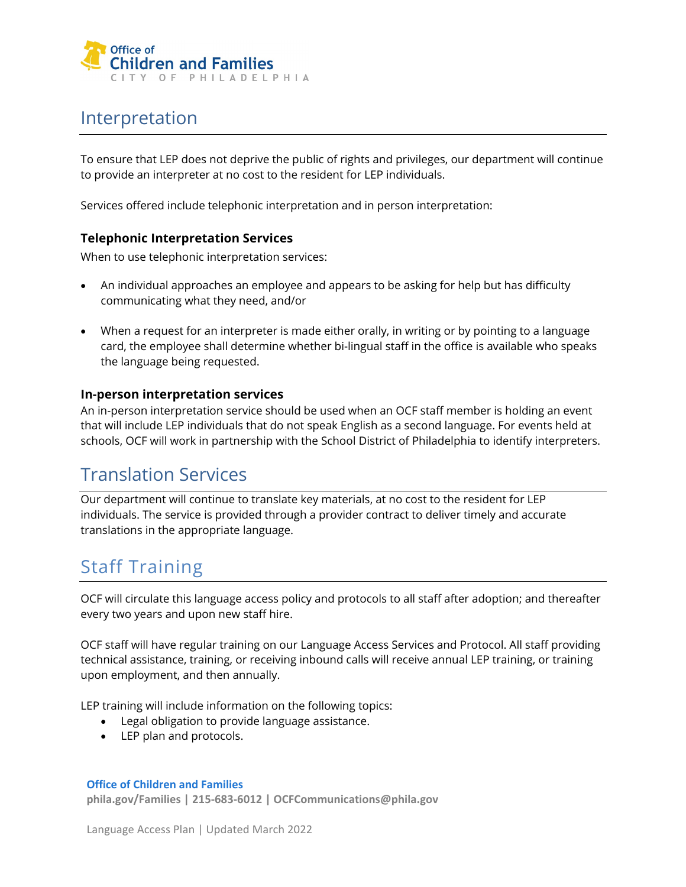

# Interpretation

To ensure that LEP does not deprive the public of rights and privileges, our department will continue to provide an interpreter at no cost to the resident for LEP individuals.

Services offered include telephonic interpretation and in person interpretation:

### **Telephonic Interpretation Services**

When to use telephonic interpretation services:

- An individual approaches an employee and appears to be asking for help but has difficulty communicating what they need, and/or
- When a request for an interpreter is made either orally, in writing or by pointing to a language card, the employee shall determine whether bi-lingual staff in the office is available who speaks the language being requested.

### **In-person interpretation services**

An in-person interpretation service should be used when an OCF staff member is holding an event that will include LEP individuals that do not speak English as a second language. For events held at schools, OCF will work in partnership with the School District of Philadelphia to identify interpreters.

# Translation Services

Our department will continue to translate key materials, at no cost to the resident for LEP individuals. The service is provided through a provider contract to deliver timely and accurate translations in the appropriate language.

# Staff Training

OCF will circulate this language access policy and protocols to all staff after adoption; and thereafter every two years and upon new staff hire.

OCF staff will have regular training on our Language Access Services and Protocol. All staff providing technical assistance, training, or receiving inbound calls will receive annual LEP training, or training upon employment, and then annually.

LEP training will include information on the following topics:

- Legal obligation to provide language assistance.
- LEP plan and protocols.

#### **Office of Children and Families**

**phila.gov/Families | 215-683-6012 | OCFCommunications@phila.gov**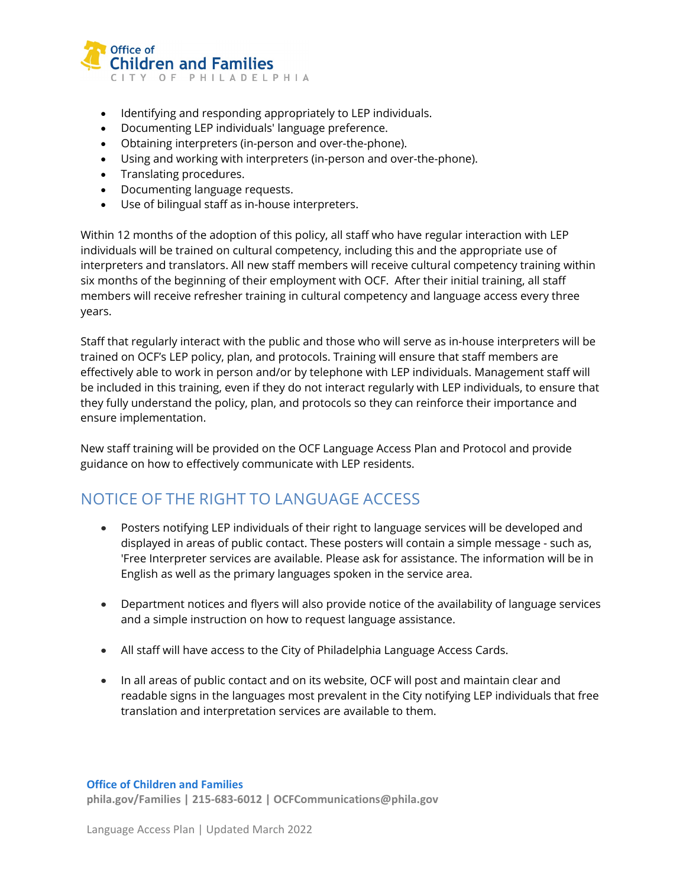

- Identifying and responding appropriately to LEP individuals.
- Documenting LEP individuals' language preference.
- Obtaining interpreters (in-person and over-the-phone).
- Using and working with interpreters (in-person and over-the-phone).
- Translating procedures.
- Documenting language requests.
- Use of bilingual staff as in-house interpreters.

Within 12 months of the adoption of this policy, all staff who have regular interaction with LEP individuals will be trained on cultural competency, including this and the appropriate use of interpreters and translators. All new staff members will receive cultural competency training within six months of the beginning of their employment with OCF. After their initial training, all staff members will receive refresher training in cultural competency and language access every three years.

Staff that regularly interact with the public and those who will serve as in-house interpreters will be trained on OCF's LEP policy, plan, and protocols. Training will ensure that staff members are effectively able to work in person and/or by telephone with LEP individuals. Management staff will be included in this training, even if they do not interact regularly with LEP individuals, to ensure that they fully understand the policy, plan, and protocols so they can reinforce their importance and ensure implementation.

New staff training will be provided on the OCF Language Access Plan and Protocol and provide guidance on how to effectively communicate with LEP residents.

# NOTICE OF THE RIGHT TO LANGUAGE ACCESS

- Posters notifying LEP individuals of their right to language services will be developed and displayed in areas of public contact. These posters will contain a simple message - such as, 'Free Interpreter services are available. Please ask for assistance. The information will be in English as well as the primary languages spoken in the service area.
- Department notices and flyers will also provide notice of the availability of language services and a simple instruction on how to request language assistance.
- All staff will have access to the City of Philadelphia Language Access Cards.
- In all areas of public contact and on its website, OCF will post and maintain clear and readable signs in the languages most prevalent in the City notifying LEP individuals that free translation and interpretation services are available to them.

#### **Office of Children and Families**

**phila.gov/Families | 215-683-6012 | OCFCommunications@phila.gov**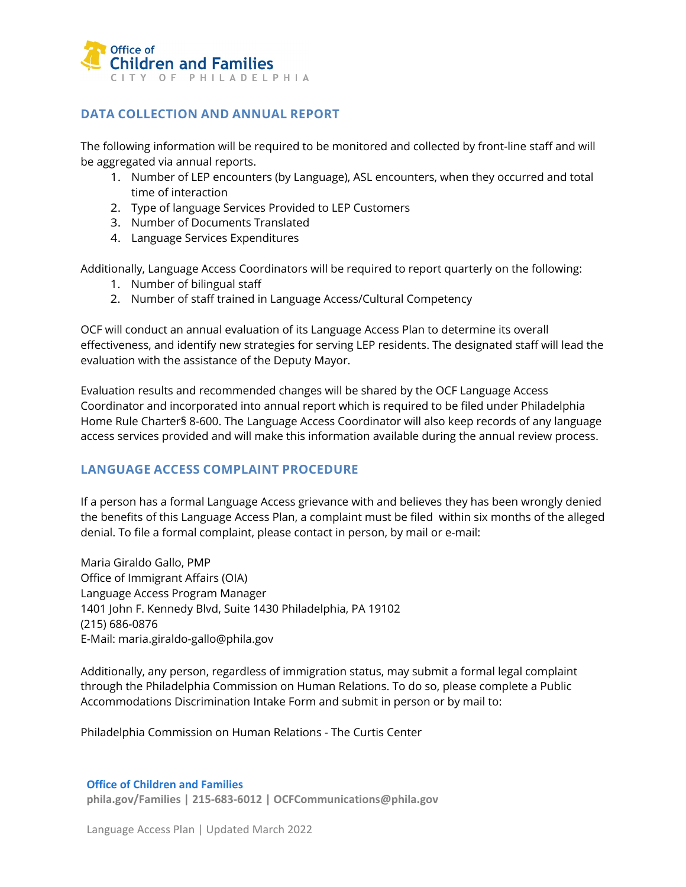

### **DATA COLLECTION AND ANNUAL REPORT**

The following information will be required to be monitored and collected by front-line staff and will be aggregated via annual reports.

- 1. Number of LEP encounters (by Language), ASL encounters, when they occurred and total time of interaction
- 2. Type of language Services Provided to LEP Customers
- 3. Number of Documents Translated
- 4. Language Services Expenditures

Additionally, Language Access Coordinators will be required to report quarterly on the following:

- 1. Number of bilingual staff
- 2. Number of staff trained in Language Access/Cultural Competency

OCF will conduct an annual evaluation of its Language Access Plan to determine its overall effectiveness, and identify new strategies for serving LEP residents. The designated staff will lead the evaluation with the assistance of the Deputy Mayor.

Evaluation results and recommended changes will be shared by the OCF Language Access Coordinator and incorporated into annual report which is required to be filed under Philadelphia Home Rule Charter§ 8-600. The Language Access Coordinator will also keep records of any language access services provided and will make this information available during the annual review process.

# **LANGUAGE ACCESS COMPLAINT PROCEDURE**

If a person has a formal Language Access grievance with and believes they has been wrongly denied the benefits of this Language Access Plan, a complaint must be filed within six months of the alleged denial. To file a formal complaint, please contact in person, by mail or e-mail:

Maria Giraldo Gallo, PMP Office of Immigrant Affairs (OIA) Language Access Program Manager 1401 John F. Kennedy Blvd, Suite 1430 Philadelphia, PA 19102 (215) 686-0876 E-Mail: maria.giraldo-gallo@phila.gov

Additionally, any person, regardless of immigration status, may submit a formal legal complaint through the Philadelphia Commission on Human Relations. To do so, please complete a Public Accommodations Discrimination Intake Form and submit in person or by mail to:

Philadelphia Commission on Human Relations - The Curtis Center

#### **Office of Children and Families**

**phila.gov/Families | 215-683-6012 | OCFCommunications@phila.gov**